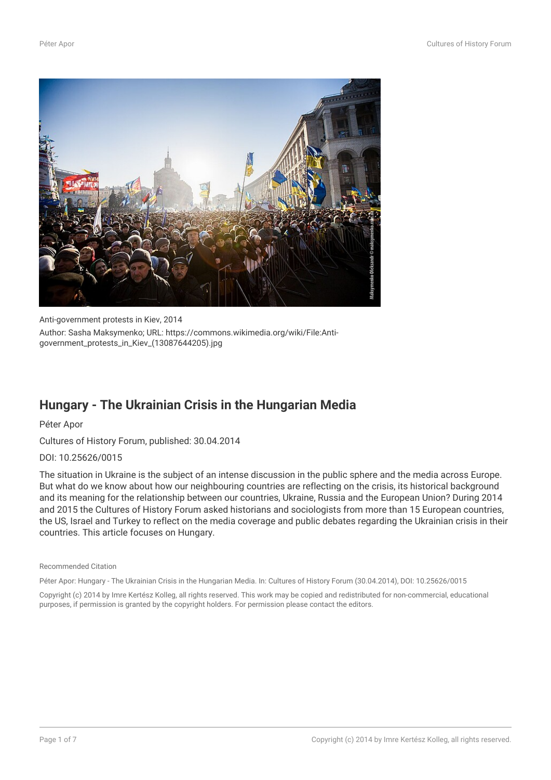

Anti-government protests in Kiev, 2014 Author: Sasha Maksymenko; URL: https://commons.wikimedia.org/wiki/File:Antigovernment\_protests\_in\_Kiev\_(13087644205).jpg

## **Hungary - The Ukrainian Crisis in the Hungarian Media**

Péter Apor

Cultures of History Forum, published: 30.04.2014

DOI: 10.25626/0015

The situation in Ukraine is the subject of an intense discussion in the public sphere and the media across Europe. But what do we know about how our neighbouring countries are reflecting on the crisis, its historical background and its meaning for the relationship between our countries, Ukraine, Russia and the European Union? During 2014 and 2015 the Cultures of History Forum asked historians and sociologists from more than 15 European countries, the US, Israel and Turkey to reflect on the media coverage and public debates regarding the Ukrainian crisis in their countries. This article focuses on Hungary.

Recommended Citation

Péter Apor: Hungary - The Ukrainian Crisis in the Hungarian Media. In: Cultures of History Forum (30.04.2014), DOI: 10.25626/0015

Copyright (c) 2014 by Imre Kertész Kolleg, all rights reserved. This work may be copied and redistributed for non-commercial, educational purposes, if permission is granted by the copyright holders. For permission please contact the editors.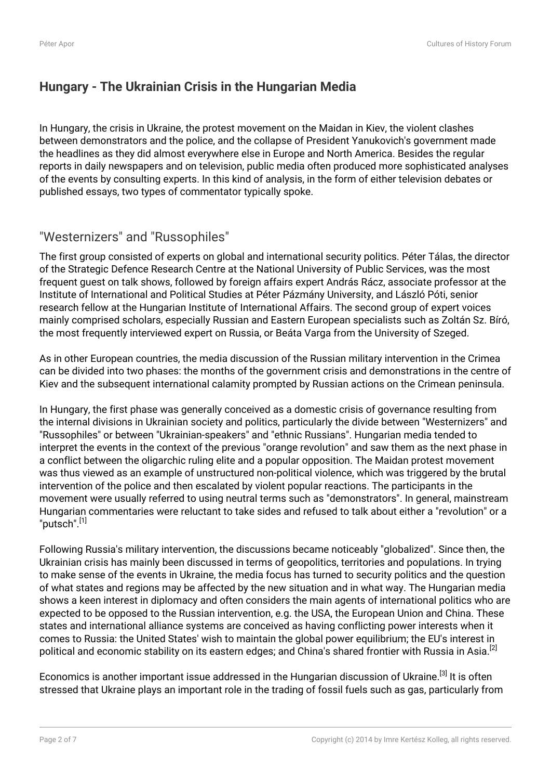## **Hungary - The Ukrainian Crisis in the Hungarian Media**

In Hungary, the crisis in Ukraine, the protest movement on the Maidan in Kiev, the violent clashes between demonstrators and the police, and the collapse of President Yanukovich's government made the headlines as they did almost everywhere else in Europe and North America. Besides the regular reports in daily newspapers and on television, public media often produced more sophisticated analyses of the events by consulting experts. In this kind of analysis, in the form of either television debates or published essays, two types of commentator typically spoke.

# "Westernizers" and "Russophiles"

The first group consisted of experts on global and international security politics. Péter Tálas, the director of the Strategic Defence Research Centre at the National University of Public Services, was the most frequent guest on talk shows, followed by foreign affairs expert András Rácz, associate professor at the Institute of International and Political Studies at Péter Pázmány University, and László Póti, senior research fellow at the Hungarian Institute of International Affairs. The second group of expert voices mainly comprised scholars, especially Russian and Eastern European specialists such as Zoltán Sz. Bíró, the most frequently interviewed expert on Russia, or Beáta Varga from the University of Szeged.

As in other European countries, the media discussion of the Russian military intervention in the Crimea can be divided into two phases: the months of the government crisis and demonstrations in the centre of Kiev and the subsequent international calamity prompted by Russian actions on the Crimean peninsula.

In Hungary, the first phase was generally conceived as a domestic crisis of governance resulting from the internal divisions in Ukrainian society and politics, particularly the divide between "Westernizers" and "Russophiles" or between "Ukrainian-speakers" and "ethnic Russians". Hungarian media tended to interpret the events in the context of the previous "orange revolution" and saw them as the next phase in a conflict between the oligarchic ruling elite and a popular opposition. The Maidan protest movement was thus viewed as an example of unstructured non-political violence, which was triggered by the brutal intervention of the police and then escalated by violent popular reactions. The participants in the movement were usually referred to using neutral terms such as "demonstrators". In general, mainstream Hungarian commentaries were reluctant to take sides and refused to talk about either a "revolution" or a "putsch".[1]

Following Russia's military intervention, the discussions became noticeably "globalized". Since then, the Ukrainian crisis has mainly been discussed in terms of geopolitics, territories and populations. In trying to make sense of the events in Ukraine, the media focus has turned to security politics and the question of what states and regions may be affected by the new situation and in what way. The Hungarian media shows a keen interest in diplomacy and often considers the main agents of international politics who are expected to be opposed to the Russian intervention, e.g. the USA, the European Union and China. These states and international alliance systems are conceived as having conflicting power interests when it comes to Russia: the United States' wish to maintain the global power equilibrium; the EU's interest in political and economic stability on its eastern edges; and China's shared frontier with Russia in Asia.<sup>[2]</sup>

Economics is another important issue addressed in the Hungarian discussion of Ukraine.<sup>[3]</sup> It is often stressed that Ukraine plays an important role in the trading of fossil fuels such as gas, particularly from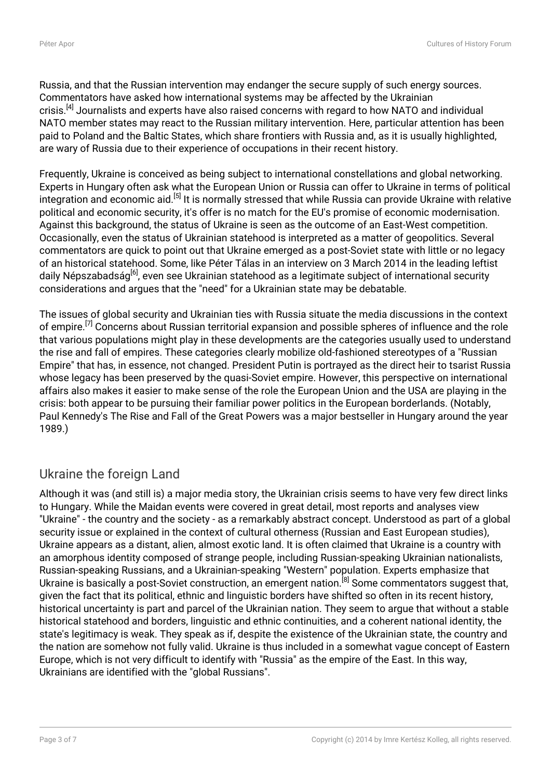Russia, and that the Russian intervention may endanger the secure supply of such energy sources. Commentators have asked how international systems may be affected by the Ukrainian crisis.<sup>[4]</sup> Journalists and experts have also raised concerns with regard to how NATO and individual NATO member states may react to the Russian military intervention. Here, particular attention has been paid to Poland and the Baltic States, which share frontiers with Russia and, as it is usually highlighted, are wary of Russia due to their experience of occupations in their recent history.

Frequently, Ukraine is conceived as being subject to international constellations and global networking. Experts in Hungary often ask what the European Union or Russia can offer to Ukraine in terms of political integration and economic aid.<sup>[5]</sup> It is normally stressed that while Russia can provide Ukraine with relative political and economic security, it's offer is no match for the EU's promise of economic modernisation. Against this background, the status of Ukraine is seen as the outcome of an East-West competition. Occasionally, even the status of Ukrainian statehood is interpreted as a matter of geopolitics. Several commentators are quick to point out that Ukraine emerged as a post-Soviet state with little or no legacy of an historical statehood. Some, like Péter Tálas in an interview on 3 March 2014 in the leading leftist daily Népszabadság<sup>[6]</sup>, even see Ukrainian statehood as a legitimate subject of international security considerations and argues that the "need" for a Ukrainian state may be debatable.

The issues of global security and Ukrainian ties with Russia situate the media discussions in the context of empire.<sup>[7]</sup> Concerns about Russian territorial expansion and possible spheres of influence and the role that various populations might play in these developments are the categories usually used to understand the rise and fall of empires. These categories clearly mobilize old-fashioned stereotypes of a "Russian Empire" that has, in essence, not changed. President Putin is portrayed as the direct heir to tsarist Russia whose legacy has been preserved by the quasi-Soviet empire. However, this perspective on international affairs also makes it easier to make sense of the role the European Union and the USA are playing in the crisis: both appear to be pursuing their familiar power politics in the European borderlands. (Notably, Paul Kennedy's The Rise and Fall of the Great Powers was a major bestseller in Hungary around the year 1989.)

## Ukraine the foreign Land

Although it was (and still is) a major media story, the Ukrainian crisis seems to have very few direct links to Hungary. While the Maidan events were covered in great detail, most reports and analyses view "Ukraine" - the country and the society - as a remarkably abstract concept. Understood as part of a global security issue or explained in the context of cultural otherness (Russian and East European studies), Ukraine appears as a distant, alien, almost exotic land. It is often claimed that Ukraine is a country with an amorphous identity composed of strange people, including Russian-speaking Ukrainian nationalists, Russian-speaking Russians, and a Ukrainian-speaking "Western" population. Experts emphasize that Ukraine is basically a post-Soviet construction, an emergent nation.<sup>[8]</sup> Some commentators suggest that, given the fact that its political, ethnic and linguistic borders have shifted so often in its recent history, historical uncertainty is part and parcel of the Ukrainian nation. They seem to argue that without a stable historical statehood and borders, linguistic and ethnic continuities, and a coherent national identity, the state's legitimacy is weak. They speak as if, despite the existence of the Ukrainian state, the country and the nation are somehow not fully valid. Ukraine is thus included in a somewhat vague concept of Eastern Europe, which is not very difficult to identify with "Russia" as the empire of the East. In this way, Ukrainians are identified with the "global Russians".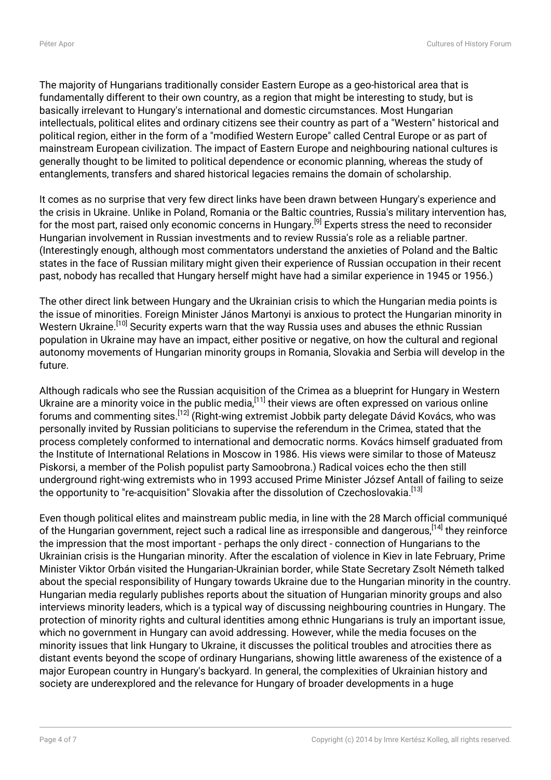The majority of Hungarians traditionally consider Eastern Europe as a geo-historical area that is fundamentally different to their own country, as a region that might be interesting to study, but is basically irrelevant to Hungary's international and domestic circumstances. Most Hungarian intellectuals, political elites and ordinary citizens see their country as part of a "Western" historical and political region, either in the form of a "modified Western Europe" called Central Europe or as part of mainstream European civilization. The impact of Eastern Europe and neighbouring national cultures is generally thought to be limited to political dependence or economic planning, whereas the study of entanglements, transfers and shared historical legacies remains the domain of scholarship.

It comes as no surprise that very few direct links have been drawn between Hungary's experience and the crisis in Ukraine. Unlike in Poland, Romania or the Baltic countries, Russia's military intervention has, for the most part, raised only economic concerns in Hungary.<sup>[9]</sup> Experts stress the need to reconsider Hungarian involvement in Russian investments and to review Russia's role as a reliable partner. (Interestingly enough, although most commentators understand the anxieties of Poland and the Baltic states in the face of Russian military might given their experience of Russian occupation in their recent past, nobody has recalled that Hungary herself might have had a similar experience in 1945 or 1956.)

The other direct link between Hungary and the Ukrainian crisis to which the Hungarian media points is the issue of minorities. Foreign Minister János Martonyi is anxious to protect the Hungarian minority in Western Ukraine.<sup>[10]</sup> Security experts warn that the way Russia uses and abuses the ethnic Russian population in Ukraine may have an impact, either positive or negative, on how the cultural and regional autonomy movements of Hungarian minority groups in Romania, Slovakia and Serbia will develop in the future.

Although radicals who see the Russian acquisition of the Crimea as a blueprint for Hungary in Western Ukraine are a minority voice in the public media, $^{[11]}$  their views are often expressed on various online forums and commenting sites.[12] (Right-wing extremist Jobbik party delegate Dávid Kovács, who was personally invited by Russian politicians to supervise the referendum in the Crimea, stated that the process completely conformed to international and democratic norms. Kovács himself graduated from the Institute of International Relations in Moscow in 1986. His views were similar to those of Mateusz Piskorsi, a member of the Polish populist party Samoobrona.) Radical voices echo the then still underground right-wing extremists who in 1993 accused Prime Minister József Antall of failing to seize the opportunity to "re-acquisition" Slovakia after the dissolution of Czechoslovakia.<sup>[13]</sup>

Even though political elites and mainstream public media, in line with the 28 March official communiqué of the Hungarian government, reject such a radical line as irresponsible and dangerous, [14] they reinforce the impression that the most important - perhaps the only direct - connection of Hungarians to the Ukrainian crisis is the Hungarian minority. After the escalation of violence in Kiev in late February, Prime Minister Viktor Orbán visited the Hungarian-Ukrainian border, while State Secretary Zsolt Németh talked about the special responsibility of Hungary towards Ukraine due to the Hungarian minority in the country. Hungarian media regularly publishes reports about the situation of Hungarian minority groups and also interviews minority leaders, which is a typical way of discussing neighbouring countries in Hungary. The protection of minority rights and cultural identities among ethnic Hungarians is truly an important issue, which no government in Hungary can avoid addressing. However, while the media focuses on the minority issues that link Hungary to Ukraine, it discusses the political troubles and atrocities there as distant events beyond the scope of ordinary Hungarians, showing little awareness of the existence of a major European country in Hungary's backyard. In general, the complexities of Ukrainian history and society are underexplored and the relevance for Hungary of broader developments in a huge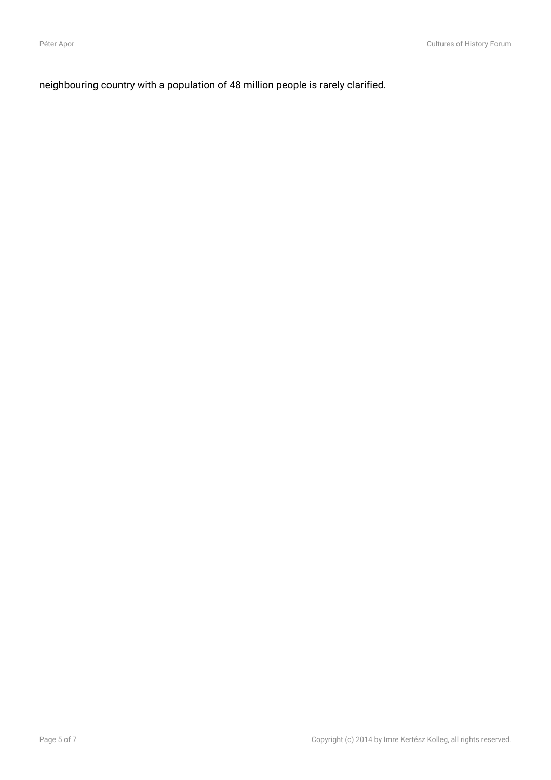neighbouring country with a population of 48 million people is rarely clarified.